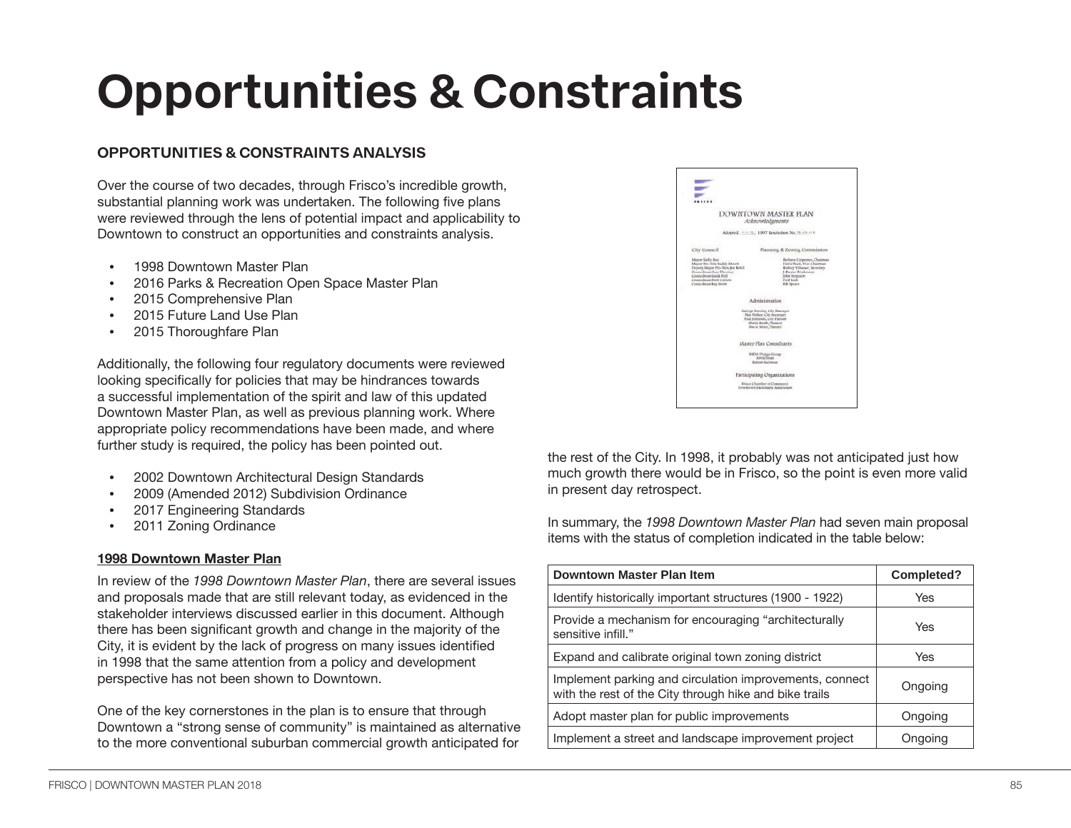# **Opportunities & Constraints**

# **OPPORTUNITIES & CONSTRAINTS ANALYSIS**

Over the course of two decades, through Frisco's incredible growth, substantial planning work was undertaken. The following five plans were reviewed through the lens of potential impact and applicability to Downtown to construct an opportunities and constraints analysis.

- 1998 Downtown Master Plan
- 2016 Parks & Recreation Open Space Master Plan
- 2015 Comprehensive Plan
- 2015 Future Land Use Plan
- 2015 Thoroughfare Plan

Additionally, the following four regulatory documents were reviewed looking specifically for policies that may be hindrances towards a successful implementation of the spirit and law of this updated Downtown Master Plan, as well as previous planning work. Where appropriate policy recommendations have been made, and where further study is required, the policy has been pointed out.

- 2002 Downtown Architectural Design Standards
- 2009 (Amended 2012) Subdivision Ordinance
- 2017 Engineering Standards
- 2011 Zoning Ordinance

# **1998 Downtown Master Plan**

In review of the *1998 Downtown Master Plan*, there are several issues and proposals made that are still relevant today, as evidenced in the stakeholder interviews discussed earlier in this document. Although there has been significant growth and change in the majority of the City, it is evident by the lack of progress on many issues identified in 1998 that the same attention from a policy and development perspective has not been shown to Downtown.

One of the key cornerstones in the plan is to ensure that through Downtown a "strong sense of community" is maintained as alternative to the more conventional suburban commercial growth anticipated for



the rest of the City. In 1998, it probably was not anticipated just how much growth there would be in Frisco, so the point is even more valid in present day retrospect.

In summary, the *1998 Downtown Master Plan* had seven main proposal items with the status of completion indicated in the table below:

| Downtown Master Plan Item                                                                                         | Completed? |
|-------------------------------------------------------------------------------------------------------------------|------------|
| Identify historically important structures (1900 - 1922)                                                          | Yes        |
| Provide a mechanism for encouraging "architecturally<br>sensitive infill."                                        | Yes        |
| Expand and calibrate original town zoning district                                                                | Yes        |
| Implement parking and circulation improvements, connect<br>with the rest of the City through hike and bike trails | Ongoing    |
| Adopt master plan for public improvements                                                                         | Ongoing    |
| Implement a street and landscape improvement project                                                              | Ongoing    |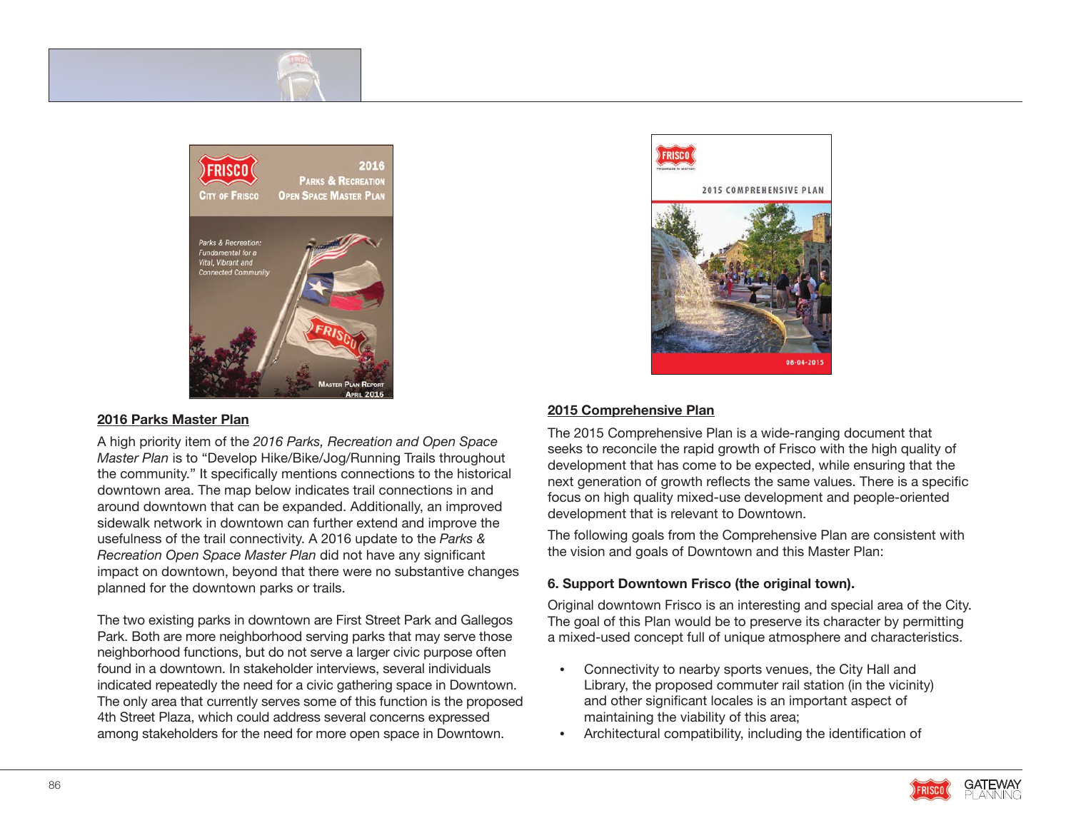

#### **2016 Parks Master Plan**

A high priority item of the *2016 Parks, Recreation and Open Space Master Plan* is to "Develop Hike/Bike/Jog/Running Trails throughout the community." It specifically mentions connections to the historical downtown area. The map below indicates trail connections in and around downtown that can be expanded. Additionally, an improved sidewalk network in downtown can further extend and improve the usefulness of the trail connectivity. A 2016 update to the *Parks & Recreation Open Space Master Plan* did not have any significant impact on downtown, beyond that there were no substantive changes planned for the downtown parks or trails.

The two existing parks in downtown are First Street Park and Gallegos Park. Both are more neighborhood serving parks that may serve those neighborhood functions, but do not serve a larger civic purpose often found in a downtown. In stakeholder interviews, several individuals indicated repeatedly the need for a civic gathering space in Downtown. The only area that currently serves some of this function is the proposed 4th Street Plaza, which could address several concerns expressed among stakeholders for the need for more open space in Downtown.



## **2015 Comprehensive Plan**

The 2015 Comprehensive Plan is a wide-ranging document that seeks to reconcile the rapid growth of Frisco with the high quality of development that has come to be expected, while ensuring that the next generation of growth reflects the same values. There is a specific focus on high quality mixed-use development and people-oriented development that is relevant to Downtown.

The following goals from the Comprehensive Plan are consistent with the vision and goals of Downtown and this Master Plan:

#### **6. Support Downtown Frisco (the original town).**

Original downtown Frisco is an interesting and special area of the City. The goal of this Plan would be to preserve its character by permitting a mixed-used concept full of unique atmosphere and characteristics.

- Connectivity to nearby sports venues, the City Hall and Library, the proposed commuter rail station (in the vicinity) and other significant locales is an important aspect of maintaining the viability of this area;
- Architectural compatibility, including the identification of

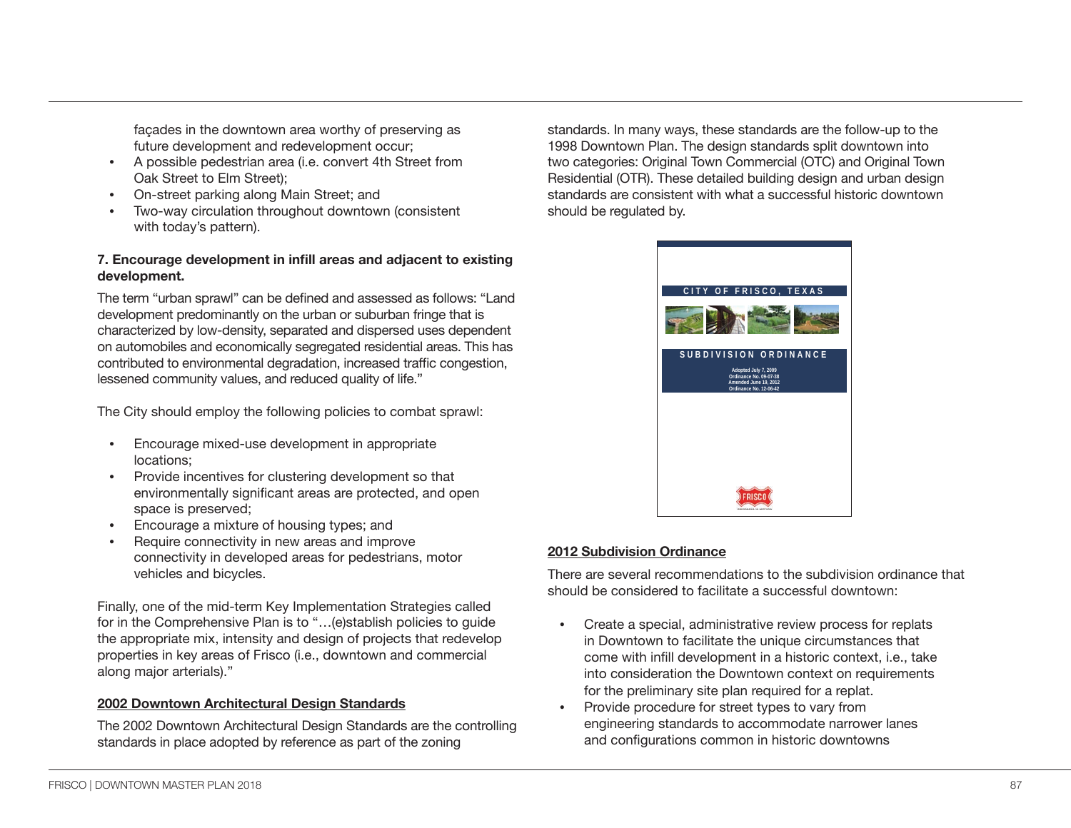façades in the downtown area worthy of preserving as future development and redevelopment occur;

- A possible pedestrian area (i.e. convert 4th Street from Oak Street to Elm Street);
- On-street parking along Main Street; and
- Two-way circulation throughout downtown (consistent with today's pattern).

# **7. Encourage development in infill areas and adjacent to existing development.**

The term "urban sprawl" can be defined and assessed as follows: "Land development predominantly on the urban or suburban fringe that is characterized by low-density, separated and dispersed uses dependent on automobiles and economically segregated residential areas. This has contributed to environmental degradation, increased traffic congestion, lessened community values, and reduced quality of life."

The City should employ the following policies to combat sprawl:

- Encourage mixed-use development in appropriate locations;
- Provide incentives for clustering development so that environmentally significant areas are protected, and open space is preserved;
- Encourage a mixture of housing types; and
- Require connectivity in new areas and improve connectivity in developed areas for pedestrians, motor vehicles and bicycles.

Finally, one of the mid-term Key Implementation Strategies called for in the Comprehensive Plan is to "...(e)stablish policies to guide the appropriate mix, intensity and design of projects that redevelop properties in key areas of Frisco (i.e., downtown and commercial along major arterials)."

# **2002 Downtown Architectural Design Standards**

The 2002 Downtown Architectural Design Standards are the controlling standards in place adopted by reference as part of the zoning

standards. In many ways, these standards are the follow-up to the 1998 Downtown Plan. The design standards split downtown into two categories: Original Town Commercial (OTC) and Original Town Residential (OTR). These detailed building design and urban design standards are consistent with what a successful historic downtown should be regulated by.



# **2012 Subdivision Ordinance**

There are several recommendations to the subdivision ordinance that should be considered to facilitate a successful downtown:

- Create a special, administrative review process for replats in Downtown to facilitate the unique circumstances that come with infill development in a historic context, i.e., take into consideration the Downtown context on requirements for the preliminary site plan required for a replat.
- Provide procedure for street types to vary from engineering standards to accommodate narrower lanes and configurations common in historic downtowns